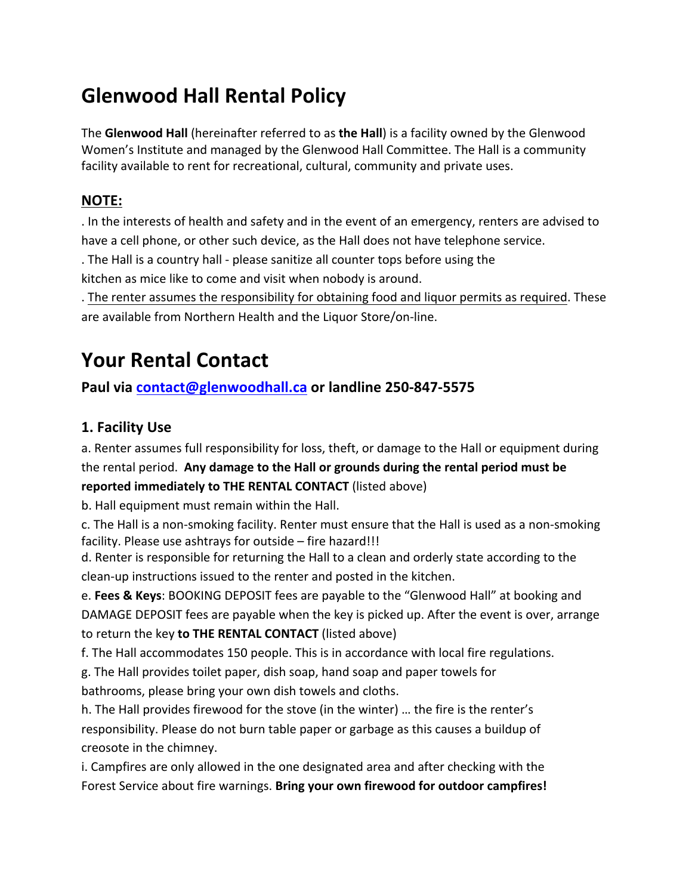## **Glenwood Hall Rental Policy**

The **Glenwood Hall** (hereinafter referred to as **the Hall**) is a facility owned by the Glenwood Women's Institute and managed by the Glenwood Hall Committee. The Hall is a community facility available to rent for recreational, cultural, community and private uses.

#### **NOTE:**

. In the interests of health and safety and in the event of an emergency, renters are advised to have a cell phone, or other such device, as the Hall does not have telephone service.

. The Hall is a country hall - please sanitize all counter tops before using the

kitchen as mice like to come and visit when nobody is around.

. The renter assumes the responsibility for obtaining food and liquor permits as required. These are available from Northern Health and the Liquor Store/on-line.

# **Your Rental Contact**

Paul via contact@glenwoodhall.ca or landline 250-847-5575

#### **1. Facility Use**

a. Renter assumes full responsibility for loss, theft, or damage to the Hall or equipment during the rental period. Any damage to the Hall or grounds during the rental period must be **reported immediately to THE RENTAL CONTACT** (listed above)

b. Hall equipment must remain within the Hall.

c. The Hall is a non-smoking facility. Renter must ensure that the Hall is used as a non-smoking facility. Please use ashtrays for outside – fire hazard!!!

d. Renter is responsible for returning the Hall to a clean and orderly state according to the clean-up instructions issued to the renter and posted in the kitchen.

e. Fees & Keys: BOOKING DEPOSIT fees are payable to the "Glenwood Hall" at booking and DAMAGE DEPOSIT fees are payable when the key is picked up. After the event is over, arrange to return the key to THE RENTAL CONTACT (listed above)

f. The Hall accommodates 150 people. This is in accordance with local fire regulations.

g. The Hall provides toilet paper, dish soap, hand soap and paper towels for bathrooms, please bring your own dish towels and cloths.

h. The Hall provides firewood for the stove (in the winter) ... the fire is the renter's responsibility. Please do not burn table paper or garbage as this causes a buildup of creosote in the chimney.

i. Campfires are only allowed in the one designated area and after checking with the Forest Service about fire warnings. Bring your own firewood for outdoor campfires!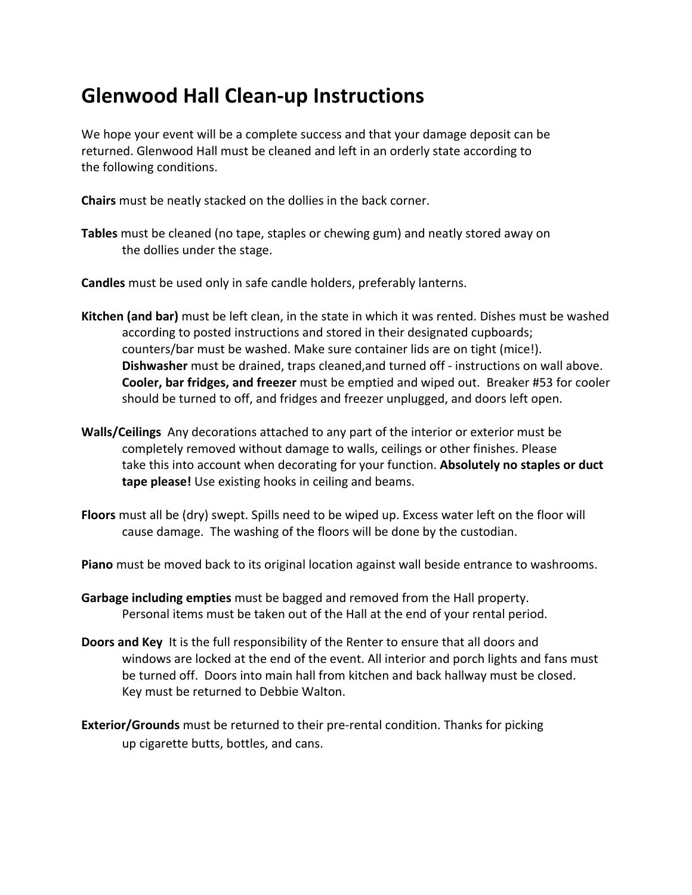### **Glenwood Hall Clean-up Instructions**

We hope your event will be a complete success and that your damage deposit can be returned. Glenwood Hall must be cleaned and left in an orderly state according to the following conditions.

**Chairs** must be neatly stacked on the dollies in the back corner.

**Tables** must be cleaned (no tape, staples or chewing gum) and neatly stored away on the dollies under the stage.

**Candles** must be used only in safe candle holders, preferably lanterns.

- **Kitchen (and bar)** must be left clean, in the state in which it was rented. Dishes must be washed according to posted instructions and stored in their designated cupboards; counters/bar must be washed. Make sure container lids are on tight (mice!). **Dishwasher** must be drained, traps cleaned, and turned off - instructions on wall above. **Cooler, bar fridges, and freezer** must be emptied and wiped out. Breaker #53 for cooler should be turned to off, and fridges and freezer unplugged, and doors left open.
- **Walls/Ceilings** Any decorations attached to any part of the interior or exterior must be completely removed without damage to walls, ceilings or other finishes. Please take this into account when decorating for your function. Absolutely no staples or duct **tape please!** Use existing hooks in ceiling and beams.
- **Floors** must all be (dry) swept. Spills need to be wiped up. Excess water left on the floor will cause damage. The washing of the floors will be done by the custodian.
- **Piano** must be moved back to its original location against wall beside entrance to washrooms.
- **Garbage including empties** must be bagged and removed from the Hall property. Personal items must be taken out of the Hall at the end of your rental period.
- **Doors and Key** It is the full responsibility of the Renter to ensure that all doors and windows are locked at the end of the event. All interior and porch lights and fans must be turned off. Doors into main hall from kitchen and back hallway must be closed. Key must be returned to Debbie Walton.
- **Exterior/Grounds** must be returned to their pre-rental condition. Thanks for picking up cigarette butts, bottles, and cans.